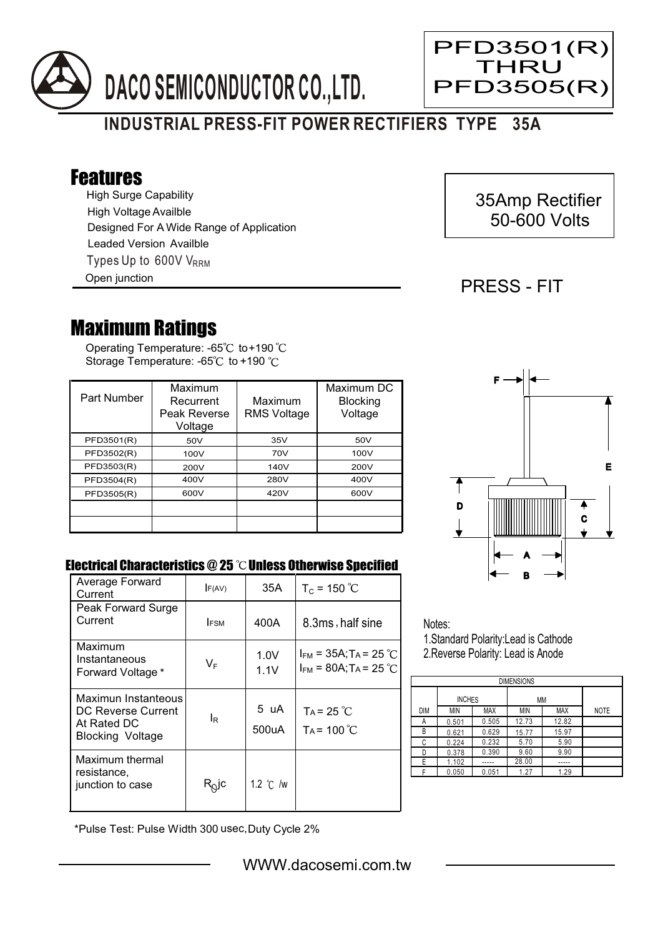

# **INDUSTRIAL PRESS-FIT POWER RECTIFIERS TYPE 35A**

## Features

High Surge Capability Types Up to 600V V<sub>RRM</sub> High Voltage Availble Designed For A Wide Range of Application Leaded Version Availble

Open junction

## 35Amp Rectifier 50-600 Volts

PFD3501(R) THRU PFD3505(R)

### PRESS - FIT

Ξ

## Maximum Ratings

Operating Temperature: -65 $\degree$ C to+190 Storage Temperature: -65 $\degree$ C to +190  $\degree$ C

| Part Number | Maximum<br>Recurrent<br>Peak Reverse<br>Voltage | Maximum<br><b>RMS Voltage</b> | Maximum DC<br><b>Blocking</b><br>Voltage |
|-------------|-------------------------------------------------|-------------------------------|------------------------------------------|
| PFD3501(R)  | 50V                                             | 35V                           | 50V                                      |
| PFD3502(R)  | 100V                                            | 70V                           | 100V                                     |
| PFD3503(R)  | 200V                                            | 140V                          | 200V                                     |
| PFD3504(R)  | 400V                                            | 280V                          | 400V                                     |
| PFD3505(R)  | 600V                                            | 420V                          | 600V                                     |
|             |                                                 |                               |                                          |
|             |                                                 |                               |                                          |



#### Electrical Characteristics  $@25$   $^{\circ}\text{C}$  Unless Otherwise Specified

| Average Forward<br>Current                                                          | F(AV)                      | 35A                | $T_c = 150 °C$                                                                   |
|-------------------------------------------------------------------------------------|----------------------------|--------------------|----------------------------------------------------------------------------------|
| Peak Forward Surge<br>Current                                                       | <b>IFSM</b>                | 400A               | 8.3ms, half sine                                                                 |
| Maximum<br>Instantaneous<br>Forward Voltage *                                       | $V_F$                      | 1.0V<br>1.1V       | $I_{FM}$ = 35A; T <sub>A</sub> = 25 °C<br>$I_{FM}$ = 80A; T <sub>A</sub> = 25 °C |
| Maximun Instanteous<br>DC Reverse Current<br>At Rated DC<br><b>Blocking Voltage</b> | l <sub>R</sub>             | 5 uA<br>500uA      | $Ta = 25 °C$<br>$Ta = 100^{\circ}C$                                              |
| Maximum thermal<br>resistance,<br>junction to case                                  | $\mathsf{R}^\mathsf{O}$ lc | 1.2 $\degree$ C /w |                                                                                  |

Notes: 1.Standard Polarity:Lead is Cathode

2.Reverse Polarity: Lead is Anode

| <b>DIMENSIONS</b> |               |            |       |            |             |  |  |  |
|-------------------|---------------|------------|-------|------------|-------------|--|--|--|
|                   | <b>INCHES</b> |            | МM    |            |             |  |  |  |
| <b>DIM</b>        | <b>MIN</b>    | <b>MAX</b> | MIN   | <b>MAX</b> | <b>NOTE</b> |  |  |  |
| Α                 | 0.501         | 0.505      | 12.73 | 12.82      |             |  |  |  |
| B                 | 0.621         | 0.629      | 15.77 | 15.97      |             |  |  |  |
| C                 | 0.224         | 0.232      | 5.70  | 5.90       |             |  |  |  |
| n                 | 0.378         | 0.390      | 9.60  | 9.90       |             |  |  |  |
| E                 | 1.102         |            | 28.00 |            |             |  |  |  |
|                   | 0.050         | 0.051      | 1.27  | 1.29       |             |  |  |  |

\*Pulse Test: Pulse Width 300 usec,Duty Cycle 2%